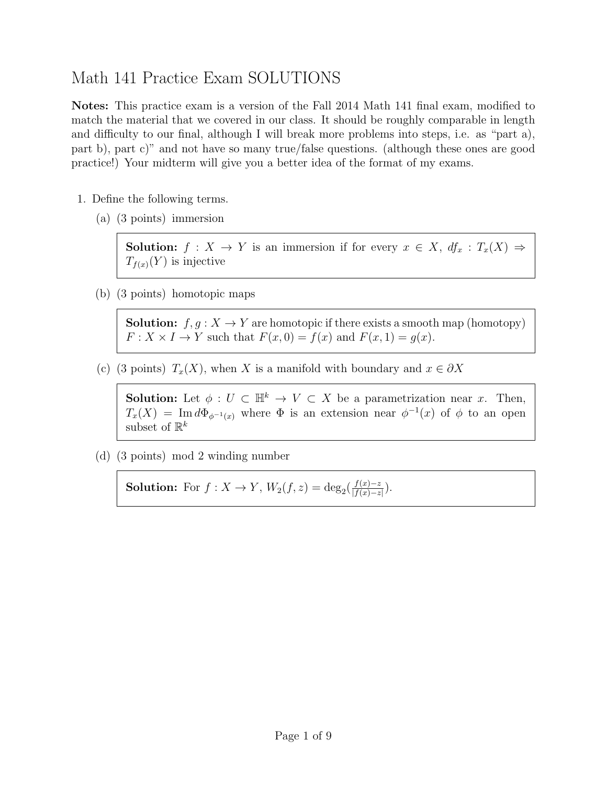# Math 141 Practice Exam SOLUTIONS

Notes: This practice exam is a version of the Fall 2014 Math 141 final exam, modified to match the material that we covered in our class. It should be roughly comparable in length and difficulty to our final, although I will break more problems into steps, i.e. as "part a), part b), part c)" and not have so many true/false questions. (although these ones are good practice!) Your midterm will give you a better idea of the format of my exams.

- 1. Define the following terms.
	- (a) (3 points) immersion

**Solution:**  $f: X \to Y$  is an immersion if for every  $x \in X$ ,  $df_x: T_x(X) \Rightarrow$  $T_{f(x)}(Y)$  is injective

(b) (3 points) homotopic maps

**Solution:**  $f, q: X \to Y$  are homotopic if there exists a smooth map (homotopy)  $F: X \times I \to Y$  such that  $F(x, 0) = f(x)$  and  $F(x, 1) = g(x)$ .

(c) (3 points)  $T_x(X)$ , when X is a manifold with boundary and  $x \in \partial X$ 

**Solution:** Let  $\phi: U \subset \mathbb{H}^k \to V \subset X$  be a parametrization near x. Then,  $T_x(X) = \text{Im } d\Phi_{\phi^{-1}(x)}$  where  $\Phi$  is an extension near  $\phi^{-1}(x)$  of  $\phi$  to an open subset of  $\mathbb{R}^k$ 

(d) (3 points) mod 2 winding number

**Solution:** For  $f: X \to Y$ ,  $W_2(f, z) = \deg_2(\frac{f(x)-z}{|f(x)-z|})$  $\frac{f(x)-z}{|f(x)-z|}$ ).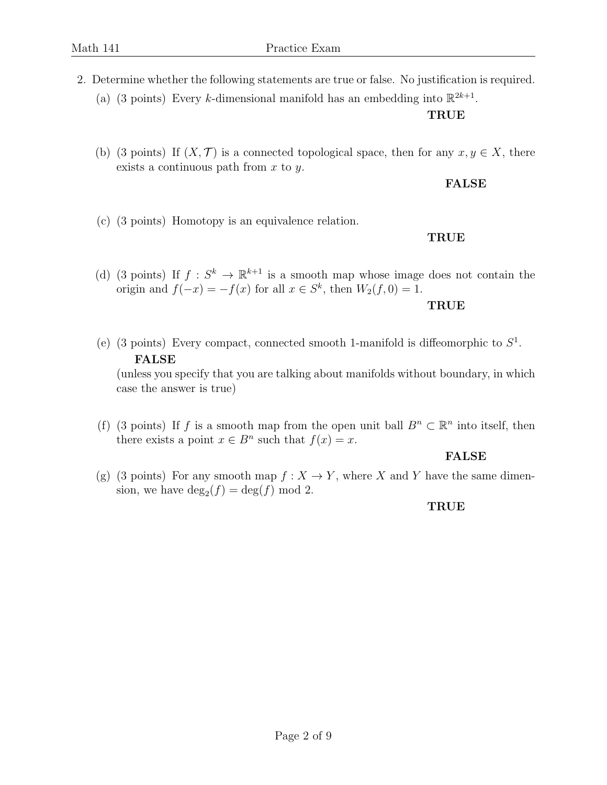- 2. Determine whether the following statements are true or false. No justification is required.
	- (a) (3 points) Every k-dimensional manifold has an embedding into  $\mathbb{R}^{2k+1}$ .

#### **TRUE**

(b) (3 points) If  $(X, \mathcal{T})$  is a connected topological space, then for any  $x, y \in X$ , there exists a continuous path from  $x$  to  $y$ .

#### FALSE

(c) (3 points) Homotopy is an equivalence relation.

## TRUE

(d) (3 points) If  $f: S^k \to \mathbb{R}^{k+1}$  is a smooth map whose image does not contain the origin and  $f(-x) = -f(x)$  for all  $x \in S^k$ , then  $W_2(f, 0) = 1$ .

#### TRUE

(e) (3 points) Every compact, connected smooth 1-manifold is diffeomorphic to  $S^1$ . FALSE

(unless you specify that you are talking about manifolds without boundary, in which case the answer is true)

(f) (3 points) If f is a smooth map from the open unit ball  $B<sup>n</sup> \subset \mathbb{R}<sup>n</sup>$  into itself, then there exists a point  $x \in B^n$  such that  $f(x) = x$ .

## FALSE

(g) (3 points) For any smooth map  $f: X \to Y$ , where X and Y have the same dimension, we have  $\deg_2(f) = \deg(f) \mod 2$ .

## TRUE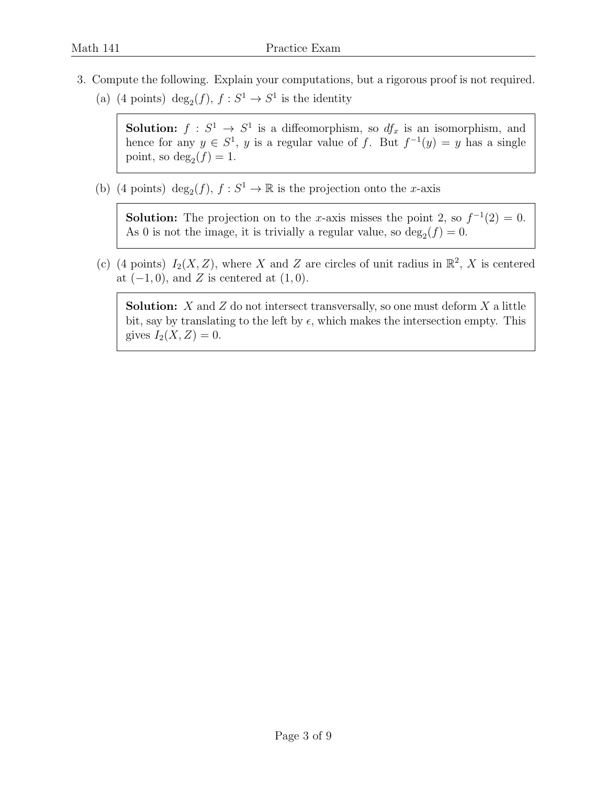- 3. Compute the following. Explain your computations, but a rigorous proof is not required.
	- (a) (4 points) deg<sub>2</sub>(*f*),  $f : S^1 \to S^1$  is the identity

**Solution:**  $f: S^1 \to S^1$  is a diffeomorphism, so  $df_x$  is an isomorphism, and hence for any  $y \in S^1$ , y is a regular value of f. But  $f^{-1}(y) = y$  has a single point, so  $\deg_2(f) = 1$ .

(b) (4 points)  $deg_2(f)$ ,  $f : S^1 \to \mathbb{R}$  is the projection onto the *x*-axis

**Solution:** The projection on to the x-axis misses the point 2, so  $f^{-1}(2) = 0$ . As 0 is not the image, it is trivially a regular value, so  $\deg_2(f) = 0$ .

(c) (4 points)  $I_2(X, Z)$ , where X and Z are circles of unit radius in  $\mathbb{R}^2$ , X is centered at  $(-1, 0)$ , and Z is centered at  $(1, 0)$ .

**Solution:** X and Z do not intersect transversally, so one must deform  $X$  a little bit, say by translating to the left by  $\epsilon$ , which makes the intersection empty. This gives  $I_2(X, Z) = 0$ .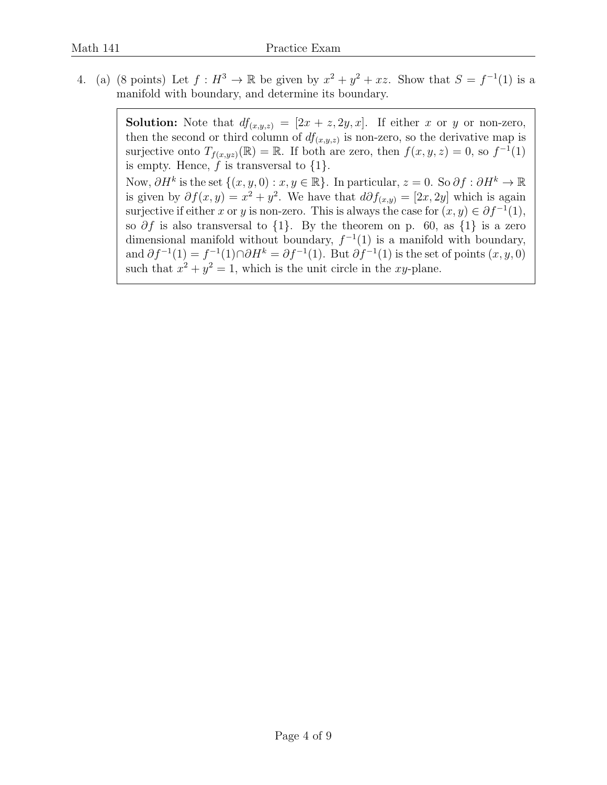4. (a) (8 points) Let  $f: H^3 \to \mathbb{R}$  be given by  $x^2 + y^2 + xz$ . Show that  $S = f^{-1}(1)$  is a manifold with boundary, and determine its boundary.

> **Solution:** Note that  $df_{(x,y,z)} = [2x + z, 2y, x]$ . If either x or y or non-zero, then the second or third column of  $df_{(x,y,z)}$  is non-zero, so the derivative map is surjective onto  $T_{f(x,yz)}(\mathbb{R}) = \mathbb{R}$ . If both are zero, then  $f(x,y,z) = 0$ , so  $f^{-1}(1)$ is empty. Hence,  $f$  is transversal to  $\{1\}$ . Now,  $\partial H^k$  is the set  $\{(x, y, 0) : x, y \in \mathbb{R}\}$ . In particular,  $z = 0$ . So  $\partial f : \partial H^k \to \mathbb{R}$ is given by  $\partial f(x,y) = x^2 + y^2$ . We have that  $d\partial f_{(x,y)} = [2x, 2y]$  which is again surjective if either x or y is non-zero. This is always the case for  $(x, y) \in \partial f^{-1}(1)$ , so  $\partial f$  is also transversal to  $\{1\}$ . By the theorem on p. 60, as  $\{1\}$  is a zero dimensional manifold without boundary,  $f^{-1}(1)$  is a manifold with boundary, and  $\partial f^{-1}(1) = f^{-1}(1) \cap \partial H^k = \partial f^{-1}(1)$ . But  $\partial f^{-1}(1)$  is the set of points  $(x, y, 0)$ such that  $x^2 + y^2 = 1$ , which is the unit circle in the xy-plane.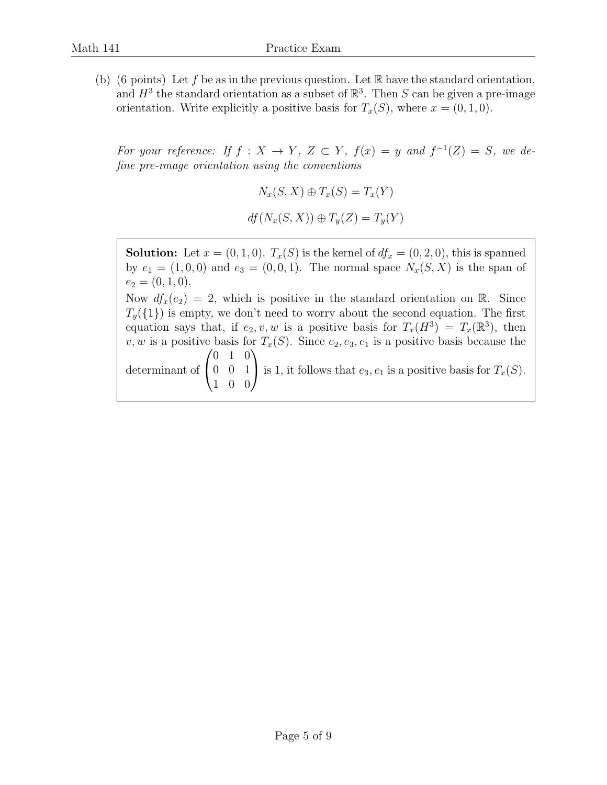(b) (6 points) Let f be as in the previous question. Let  $\mathbb R$  have the standard orientation, and  $H^3$  the standard orientation as a subset of  $\mathbb{R}^3$ . Then S can be given a pre-image orientation. Write explicitly a positive basis for  $T_x(S)$ , where  $x = (0, 1, 0)$ .

For your reference: If  $f: X \to Y$ ,  $Z \subset Y$ ,  $f(x) = y$  and  $f^{-1}(Z) = S$ , we define pre-image orientation using the conventions

$$
N_x(S, X) \oplus T_x(S) = T_x(Y)
$$
  

$$
df(N_x(S, X)) \oplus T_y(Z) = T_y(Y)
$$

**Solution:** Let  $x = (0, 1, 0)$ .  $T_x(S)$  is the kernel of  $df_x = (0, 2, 0)$ , this is spanned by  $e_1 = (1, 0, 0)$  and  $e_3 = (0, 0, 1)$ . The normal space  $N_x(S, X)$  is the span of  $e_2 = (0, 1, 0).$ Now  $df_x(e_2) = 2$ , which is positive in the standard orientation on R. Since  $T_{y}(\{1\})$  is empty, we don't need to worry about the second equation. The first equation says that, if  $e_2, v, w$  is a positive basis for  $T_x(H^3) = T_x(\mathbb{R}^3)$ , then v, w is a positive basis for  $T_x(S)$ . Since  $e_2, e_3, e_1$  is a positive basis because the determinant of  $\sqrt{ }$  $\overline{1}$ 0 1 0 0 0 1 1 0 0  $\setminus$ is 1, it follows that  $e_3, e_1$  is a positive basis for  $T_x(S)$ .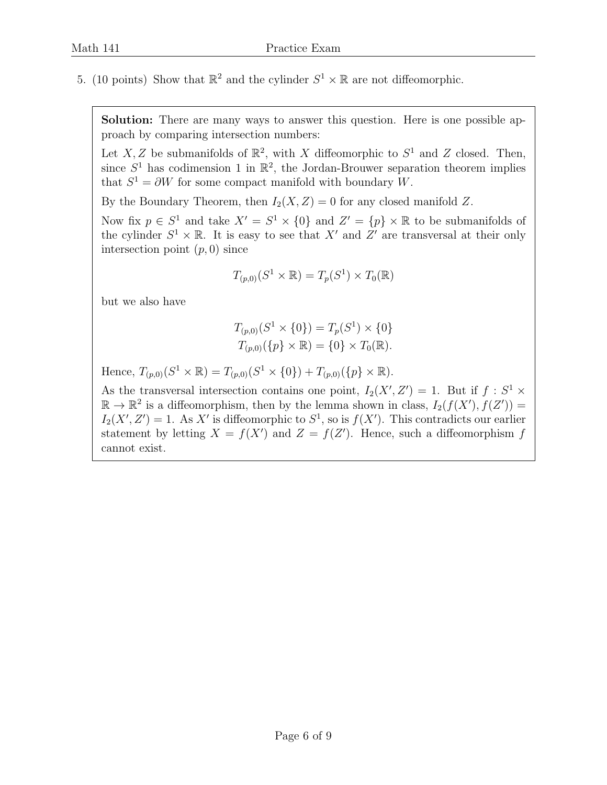5. (10 points) Show that  $\mathbb{R}^2$  and the cylinder  $S^1 \times \mathbb{R}$  are not diffeomorphic.

Solution: There are many ways to answer this question. Here is one possible approach by comparing intersection numbers:

Let X, Z be submanifolds of  $\mathbb{R}^2$ , with X diffeomorphic to  $S^1$  and Z closed. Then, since  $S^1$  has codimension 1 in  $\mathbb{R}^2$ , the Jordan-Brouwer separation theorem implies that  $S^1 = \partial W$  for some compact manifold with boundary W.

By the Boundary Theorem, then  $I_2(X, Z) = 0$  for any closed manifold Z.

Now fix  $p \in S^1$  and take  $X' = S^1 \times \{0\}$  and  $Z' = \{p\} \times \mathbb{R}$  to be submanifolds of the cylinder  $S^1 \times \mathbb{R}$ . It is easy to see that X' and Z' are transversal at their only intersection point  $(p, 0)$  since

$$
T_{(p,0)}(S^1 \times \mathbb{R}) = T_p(S^1) \times T_0(\mathbb{R})
$$

but we also have

$$
T_{(p,0)}(S^1 \times \{0\}) = T_p(S^1) \times \{0\}
$$
  

$$
T_{(p,0)}(\{p\} \times \mathbb{R}) = \{0\} \times T_0(\mathbb{R}).
$$

Hence,  $T_{(p,0)}(S^1 \times \mathbb{R}) = T_{(p,0)}(S^1 \times \{0\}) + T_{(p,0)}(\{p\} \times \mathbb{R}).$ 

As the transversal intersection contains one point,  $I_2(X', Z') = 1$ . But if  $f : S^1 \times$  $\mathbb{R} \to \mathbb{R}^2$  is a diffeomorphism, then by the lemma shown in class,  $I_2(f(X'), f(Z')) =$  $I_2(X', Z') = 1$ . As X' is diffeomorphic to  $S^1$ , so is  $f(X')$ . This contradicts our earlier statement by letting  $X = f(X')$  and  $Z = f(Z')$ . Hence, such a diffeomorphism f cannot exist.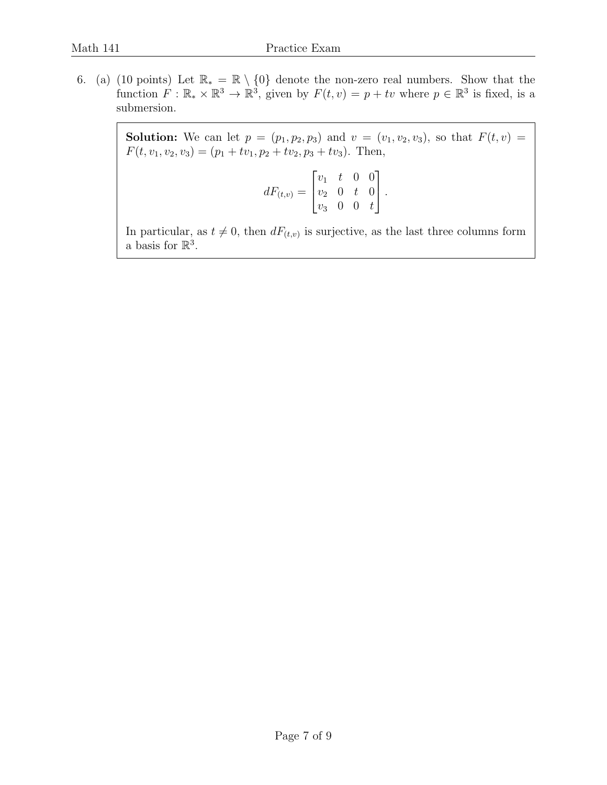6. (a) (10 points) Let  $\mathbb{R}_* = \mathbb{R} \setminus \{0\}$  denote the non-zero real numbers. Show that the function  $F: \mathbb{R}_* \times \mathbb{R}^3 \to \mathbb{R}^3$ , given by  $F(t, v) = p + tv$  where  $p \in \mathbb{R}^3$  is fixed, is a submersion.

> **Solution:** We can let  $p = (p_1, p_2, p_3)$  and  $v = (v_1, v_2, v_3)$ , so that  $F(t, v) =$  $F(t, v_1, v_2, v_3) = (p_1 + tv_1, p_2 + tv_2, p_3 + tv_3)$ . Then,

$$
dF_{(t,v)} = \begin{bmatrix} v_1 & t & 0 & 0 \\ v_2 & 0 & t & 0 \\ v_3 & 0 & 0 & t \end{bmatrix}.
$$

In particular, as  $t \neq 0$ , then  $dF_{(t,v)}$  is surjective, as the last three columns form a basis for  $\mathbb{R}^3$ .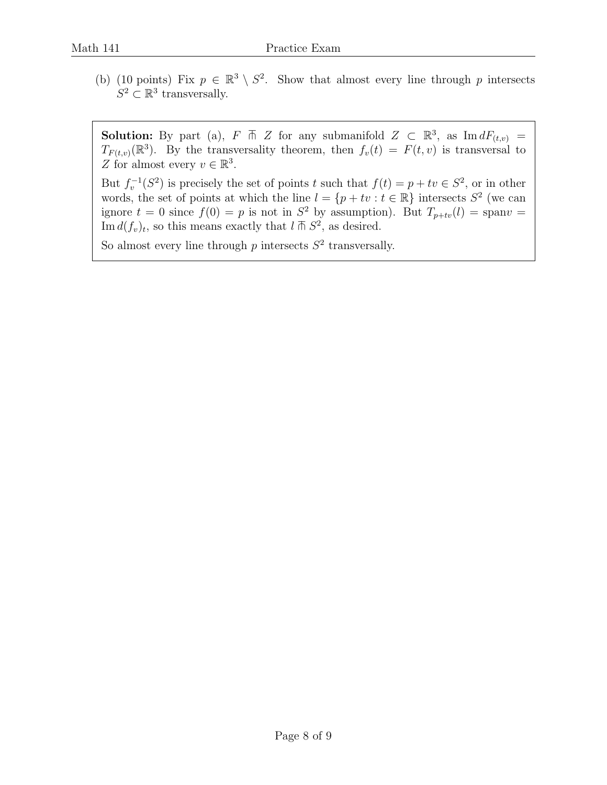(b) (10 points) Fix  $p \in \mathbb{R}^3 \setminus S^2$ . Show that almost every line through p intersects  $S^2 \subset \mathbb{R}^3$  transversally.

**Solution:** By part (a),  $F \uparrow Z$  for any submanifold  $Z \subset \mathbb{R}^3$ , as  $\text{Im} dF_{(t,v)} =$  $T_{F(t,v)}(\mathbb{R}^3)$ . By the transversality theorem, then  $f_v(t) = F(t, v)$  is transversal to Z for almost every  $v \in \mathbb{R}^3$ .

But  $f_v^{-1}(S^2)$  is precisely the set of points t such that  $f(t) = p + tv \in S^2$ , or in other words, the set of points at which the line  $l = \{p + tv : t \in \mathbb{R}\}\)$  intersects  $S^2$  (we can ignore  $t = 0$  since  $f(0) = p$  is not in  $S^2$  by assumption). But  $T_{p+tv}(l) = \text{span}v =$ Im  $d(f_v)_t$ , so this means exactly that  $l \bar{m} S^2$ , as desired.

So almost every line through  $p$  intersects  $S^2$  transversally.